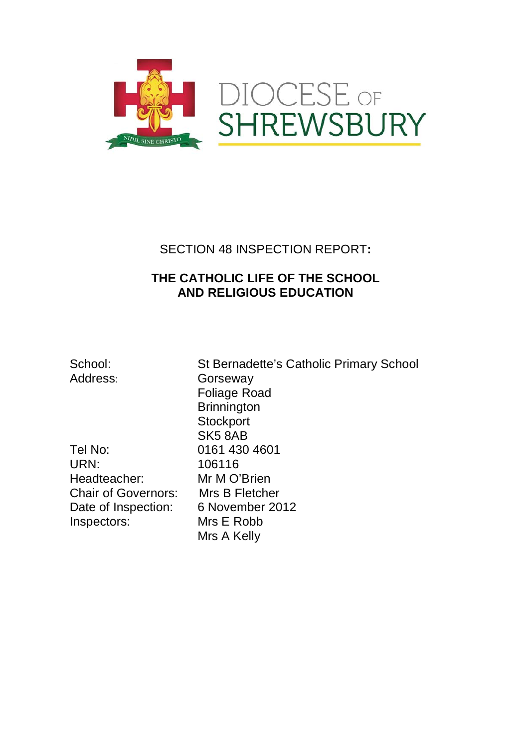

# SECTION 48 INSPECTION REPORT**:**

# **THE CATHOLIC LIFE OF THE SCHOOL AND RELIGIOUS EDUCATION**

Tel No: 0161 430 4601<br>URN: 106116 Headteacher: Mr M O'Brien Chair of Governors: Mrs B Fletcher Date of Inspection: 6 November 2012<br>Inspectors: Mrs E Robb Inspectors:

School: St Bernadette's Catholic Primary School Address: Gorseway Foliage Road **Brinnington Stockport** SK5 8AB 106116 Mrs A Kelly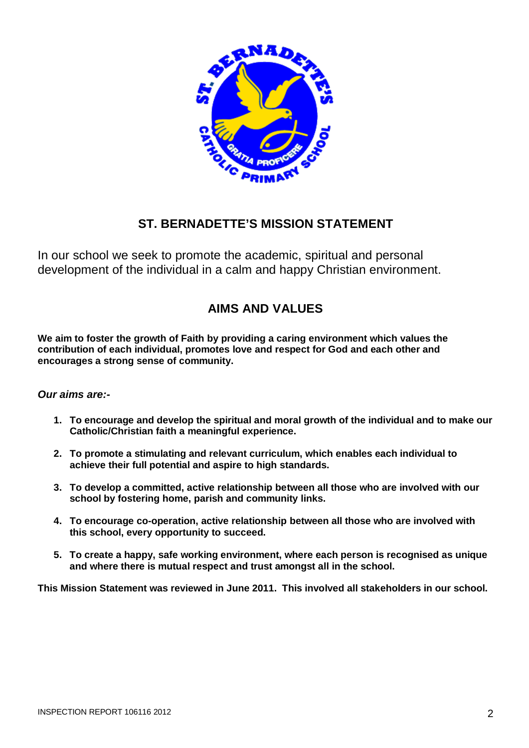

# **ST. BERNADETTE'S MISSION STATEMENT**

In our school we seek to promote the academic, spiritual and personal development of the individual in a calm and happy Christian environment.

# **AIMS AND VALUES**

**We aim to foster the growth of Faith by providing a caring environment which values the contribution of each individual, promotes love and respect for God and each other and encourages a strong sense of community.**

### *Our aims are:-*

- **1. To encourage and develop the spiritual and moral growth of the individual and to make our Catholic/Christian faith a meaningful experience.**
- **2. To promote a stimulating and relevant curriculum, which enables each individual to achieve their full potential and aspire to high standards.**
- **3. To develop a committed, active relationship between all those who are involved with our school by fostering home, parish and community links.**
- **4. To encourage co-operation, active relationship between all those who are involved with this school, every opportunity to succeed.**
- **5. To create a happy, safe working environment, where each person is recognised as unique and where there is mutual respect and trust amongst all in the school.**

**This Mission Statement was reviewed in June 2011. This involved all stakeholders in our school.**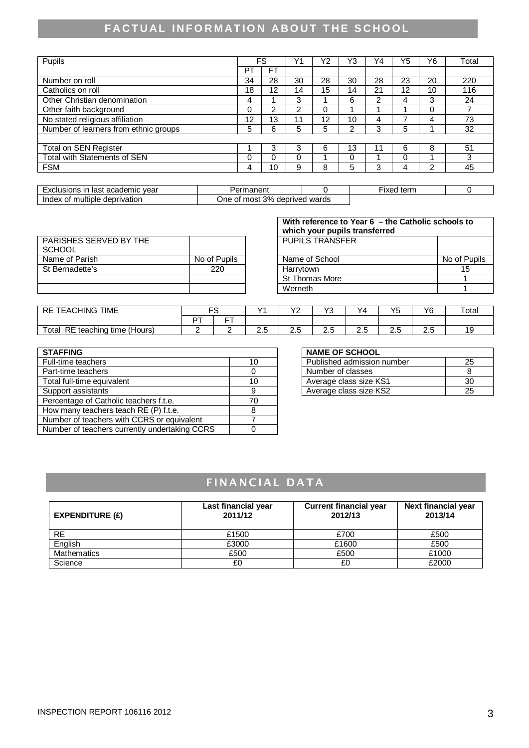# **FACTUAL INFORMATION ABOUT THE SCHOOL**

|    | FS        | Y1 | Υ2 | Y3 | Υ4 | Y5 | Y6 | Total |
|----|-----------|----|----|----|----|----|----|-------|
| PT | <b>FT</b> |    |    |    |    |    |    |       |
| 34 | 28        | 30 | 28 | 30 | 28 | 23 | 20 | 220   |
| 18 | 12        | 14 | 15 | 14 | 21 | 12 | 10 | 116   |
| 4  |           | 3  |    | 6  | າ  | 4  | 3  | 24    |
| 0  | 2         | 2  | 0  |    |    |    | 0  |       |
| 12 | 13        |    | 12 | 10 | 4  |    | 4  | 73    |
| 5  | 6         | 5  | 5  | っ  | 3  | 5  |    | 32    |
|    |           |    |    |    |    |    |    |       |
|    | 3         | 3  | 6  | 13 | -1 | 6  | 8  | 51    |
| 0  | Ω         |    |    | 0  |    | 0  |    | 3     |
| 4  | 10        | 9  | 8  | 5  | 3  | 4  | 2  | 45    |
|    |           |    |    |    |    |    |    |       |

| vear<br>lemic<br>last<br>acadan.<br>clusions ir<br>acauer | nanani<br>ianent                      |       | $r_{\alpha r}$<br>Fixea<br><u>uain</u> |  |
|-----------------------------------------------------------|---------------------------------------|-------|----------------------------------------|--|
| deprivation<br>Index<br>multiple<br>ΩT                    | 3%<br>deprived<br>* mosì<br>One<br>ΟĪ | wards |                                        |  |

| PARISHES SERVED BY THE |              | <b>PUPILS TRANSFER</b> |              |
|------------------------|--------------|------------------------|--------------|
| SCHOOL                 |              |                        |              |
| Name of Parish         | No of Pupils | Name of School         | No of Pupils |
| St Bernadette's        | 220          | Harrvtown              | 15           |
|                        |              | St Thomas More         |              |
|                        |              | Werneth                |              |

| With reference to Year 6 - the Catholic schools to<br>which your pupils transferred |              |  |  |
|-------------------------------------------------------------------------------------|--------------|--|--|
| <b>PUPILS TRANSFER</b>                                                              |              |  |  |
| Name of School                                                                      | No of Pupils |  |  |
| Harrytown                                                                           | 15           |  |  |
| <b>St Thomas More</b>                                                               |              |  |  |
| Werneth                                                                             |              |  |  |

| <b>TIME</b><br>TEACHING<br>RE             | r c | $\ddot{\phantom{1}}$ |          | $\overline{\phantom{a}}$<br>. . | $\sqrt{2}$           | ິ        | VE<br>   | Y6  | Totai |
|-------------------------------------------|-----|----------------------|----------|---------------------------------|----------------------|----------|----------|-----|-------|
|                                           | ∽−  | --                   |          |                                 |                      |          |          |     |       |
| Total<br>RE<br>teaching<br>□ time (Hours) |     |                      | ⌒<br>ن.ء | ~ -<br>ت                        | $\sim$ $\sim$<br>ے ۔ | -<br>ن ۽ | ∽<br>ے ۔ | ے ۔ |       |

| <b>STAFFING</b>                               |    |  | <b>NAME OF SCHOOL</b>      |    |
|-----------------------------------------------|----|--|----------------------------|----|
| Full-time teachers                            | 10 |  | Published admission number | 25 |
| Part-time teachers                            |    |  | Number of classes          | 8  |
| Total full-time equivalent                    | 10 |  | Average class size KS1     | 30 |
| Support assistants                            |    |  | Average class size KS2     | 25 |
| Percentage of Catholic teachers f.t.e.        | 70 |  |                            |    |
| How many teachers teach RE (P) f.t.e.         |    |  |                            |    |
| Number of teachers with CCRS or equivalent    |    |  |                            |    |
| Number of teachers currently undertaking CCRS |    |  |                            |    |

#### **NAME OF SCHOOL**

| Published admission number | לי |
|----------------------------|----|
| Number of classes          |    |
| Average class size KS1     | 30 |
| Average class size KS2     |    |

# FINANCIAL DATA

| <b>EXPENDITURE (£)</b> | Last financial year<br>2011/12 | <b>Current financial year</b><br>2012/13 | <b>Next financial year</b><br>2013/14 |
|------------------------|--------------------------------|------------------------------------------|---------------------------------------|
| <b>RE</b>              | £1500                          | £700                                     | £500                                  |
| English                | £3000                          | £1600                                    | £500                                  |
| <b>Mathematics</b>     | £500                           | £500                                     | £1000                                 |
| Science                | £0                             | £0                                       | £2000                                 |

┑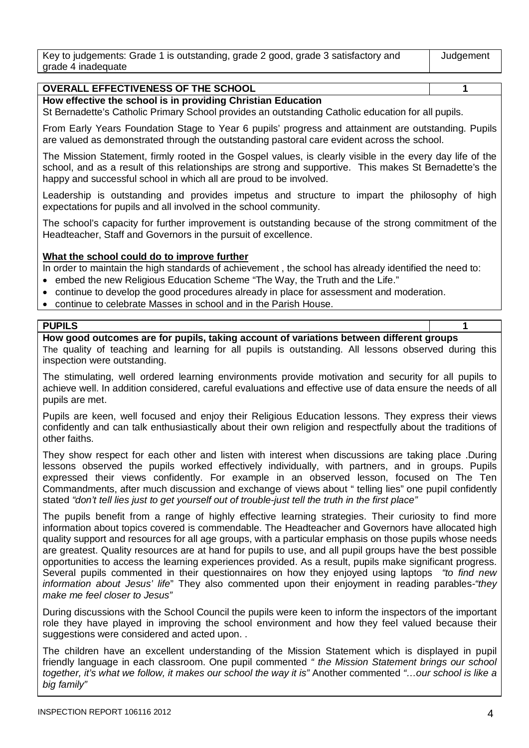| Key to judgements: Grade 1 is outstanding, grade 2 good, grade 3 satisfactory and | Judgement |
|-----------------------------------------------------------------------------------|-----------|
| grade 4 inadequate                                                                |           |

### **OVERALL EFFECTIVENESS OF THE SCHOOL 1**

#### **How effective the school is in providing Christian Education**

St Bernadette's Catholic Primary School provides an outstanding Catholic education for all pupils.

From Early Years Foundation Stage to Year 6 pupils' progress and attainment are outstanding. Pupils are valued as demonstrated through the outstanding pastoral care evident across the school.

The Mission Statement, firmly rooted in the Gospel values, is clearly visible in the every day life of the school, and as a result of this relationships are strong and supportive. This makes St Bernadette's the happy and successful school in which all are proud to be involved.

Leadership is outstanding and provides impetus and structure to impart the philosophy of high expectations for pupils and all involved in the school community.

The school's capacity for further improvement is outstanding because of the strong commitment of the Headteacher, Staff and Governors in the pursuit of excellence.

#### **What the school could do to improve further**

In order to maintain the high standards of achievement, the school has already identified the need to:

- embed the new Religious Education Scheme "The Way, the Truth and the Life."
- continue to develop the good procedures already in place for assessment and moderation.
- continue to celebrate Masses in school and in the Parish House.

#### **PUPILS 1**

#### **How good outcomes are for pupils, taking account of variations between different groups**

The quality of teaching and learning for all pupils is outstanding. All lessons observed during this inspection were outstanding.

The stimulating, well ordered learning environments provide motivation and security for all pupils to achieve well. In addition considered, careful evaluations and effective use of data ensure the needs of all pupils are met.

Pupils are keen, well focused and enjoy their Religious Education lessons. They express their views confidently and can talk enthusiastically about their own religion and respectfully about the traditions of other faiths.

They show respect for each other and listen with interest when discussions are taking place .During lessons observed the pupils worked effectively individually, with partners, and in groups. Pupils expressed their views confidently. For example in an observed lesson, focused on The Ten Commandments, after much discussion and exchange of views about " telling lies" one pupil confidently stated *"don't tell lies just to get yourself out of trouble*-*just tell the truth in the first place"*

The pupils benefit from a range of highly effective learning strategies. Their curiosity to find more information about topics covered is commendable. The Headteacher and Governors have allocated high quality support and resources for all age groups, with a particular emphasis on those pupils whose needs are greatest. Quality resources are at hand for pupils to use, and all pupil groups have the best possible opportunities to access the learning experiences provided. As a result, pupils make significant progress. Several pupils commented in their questionnaires on how they enjoyed using laptops *"to find new information about Jesus' life*" They also commented upon their enjoyment in reading parables*-"they make me feel closer to Jesus"*

During discussions with the School Council the pupils were keen to inform the inspectors of the important role they have played in improving the school environment and how they feel valued because their suggestions were considered and acted upon. .

The children have an excellent understanding of the Mission Statement which is displayed in pupil friendly language in each classroom. One pupil commented *" the Mission Statement brings our school together, it's what we follow, it makes our school the way it is"* Another commented *"…our school is like a big family"*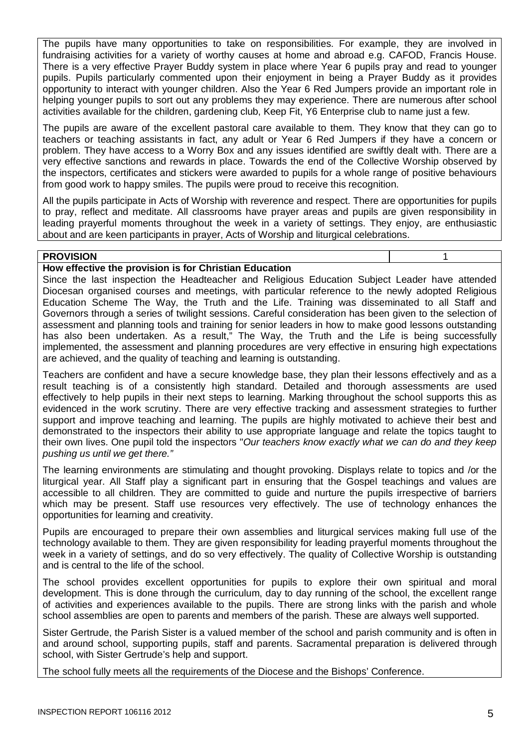The pupils have many opportunities to take on responsibilities. For example, they are involved in fundraising activities for a variety of worthy causes at home and abroad e.g. CAFOD, Francis House. There is a very effective Prayer Buddy system in place where Year 6 pupils pray and read to younger pupils. Pupils particularly commented upon their enjoyment in being a Prayer Buddy as it provides opportunity to interact with younger children. Also the Year 6 Red Jumpers provide an important role in helping younger pupils to sort out any problems they may experience. There are numerous after school activities available for the children, gardening club, Keep Fit, Y6 Enterprise club to name just a few.

The pupils are aware of the excellent pastoral care available to them. They know that they can go to teachers or teaching assistants in fact, any adult or Year 6 Red Jumpers if they have a concern or problem. They have access to a Worry Box and any issues identified are swiftly dealt with. There are a very effective sanctions and rewards in place. Towards the end of the Collective Worship observed by the inspectors, certificates and stickers were awarded to pupils for a whole range of positive behaviours from good work to happy smiles. The pupils were proud to receive this recognition.

All the pupils participate in Acts of Worship with reverence and respect. There are opportunities for pupils to pray, reflect and meditate. All classrooms have prayer areas and pupils are given responsibility in leading prayerful moments throughout the week in a variety of settings. They enjoy, are enthusiastic about and are keen participants in prayer, Acts of Worship and liturgical celebrations.

#### **PROVISION** 1

#### **How effective the provision is for Christian Education**

Since the last inspection the Headteacher and Religious Education Subject Leader have attended Diocesan organised courses and meetings, with particular reference to the newly adopted Religious Education Scheme The Way, the Truth and the Life. Training was disseminated to all Staff and Governors through a series of twilight sessions. Careful consideration has been given to the selection of assessment and planning tools and training for senior leaders in how to make good lessons outstanding has also been undertaken. As a result." The Way, the Truth and the Life is being successfully implemented, the assessment and planning procedures are very effective in ensuring high expectations are achieved, and the quality of teaching and learning is outstanding.

Teachers are confident and have a secure knowledge base, they plan their lessons effectively and as a result teaching is of a consistently high standard. Detailed and thorough assessments are used effectively to help pupils in their next steps to learning. Marking throughout the school supports this as evidenced in the work scrutiny. There are very effective tracking and assessment strategies to further support and improve teaching and learning. The pupils are highly motivated to achieve their best and demonstrated to the inspectors their ability to use appropriate language and relate the topics taught to their own lives. One pupil told the inspectors "*Our teachers know exactly what we can do and they keep pushing us until we get there."*

The learning environments are stimulating and thought provoking. Displays relate to topics and /or the liturgical year. All Staff play a significant part in ensuring that the Gospel teachings and values are accessible to all children. They are committed to guide and nurture the pupils irrespective of barriers which may be present. Staff use resources very effectively. The use of technology enhances the opportunities for learning and creativity.

Pupils are encouraged to prepare their own assemblies and liturgical services making full use of the technology available to them. They are given responsibility for leading prayerful moments throughout the week in a variety of settings, and do so very effectively. The quality of Collective Worship is outstanding and is central to the life of the school.

The school provides excellent opportunities for pupils to explore their own spiritual and moral development. This is done through the curriculum, day to day running of the school, the excellent range of activities and experiences available to the pupils. There are strong links with the parish and whole school assemblies are open to parents and members of the parish. These are always well supported.

Sister Gertrude, the Parish Sister is a valued member of the school and parish community and is often in and around school, supporting pupils, staff and parents. Sacramental preparation is delivered through school, with Sister Gertrude's help and support.

The school fully meets all the requirements of the Diocese and the Bishops' Conference.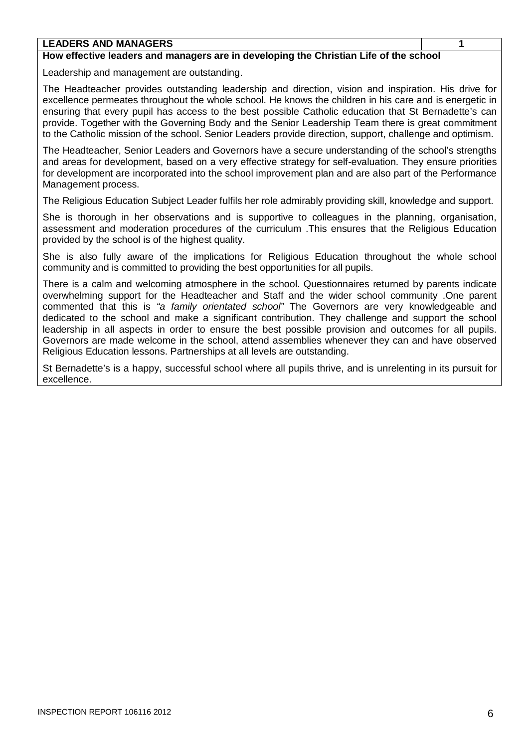#### **LEADERS AND MANAGERS 1**

#### **How effective leaders and managers are in developing the Christian Life of the school**

Leadership and management are outstanding.

The Headteacher provides outstanding leadership and direction, vision and inspiration. His drive for excellence permeates throughout the whole school. He knows the children in his care and is energetic in ensuring that every pupil has access to the best possible Catholic education that St Bernadette's can provide. Together with the Governing Body and the Senior Leadership Team there is great commitment to the Catholic mission of the school. Senior Leaders provide direction, support, challenge and optimism.

The Headteacher, Senior Leaders and Governors have a secure understanding of the school's strengths and areas for development, based on a very effective strategy for self-evaluation. They ensure priorities for development are incorporated into the school improvement plan and are also part of the Performance Management process.

The Religious Education Subject Leader fulfils her role admirably providing skill, knowledge and support.

She is thorough in her observations and is supportive to colleagues in the planning, organisation, assessment and moderation procedures of the curriculum .This ensures that the Religious Education provided by the school is of the highest quality.

She is also fully aware of the implications for Religious Education throughout the whole school community and is committed to providing the best opportunities for all pupils.

There is a calm and welcoming atmosphere in the school. Questionnaires returned by parents indicate overwhelming support for the Headteacher and Staff and the wider school community .One parent commented that this is *"a family orientated school"* The Governors are very knowledgeable and dedicated to the school and make a significant contribution. They challenge and support the school leadership in all aspects in order to ensure the best possible provision and outcomes for all pupils. Governors are made welcome in the school, attend assemblies whenever they can and have observed Religious Education lessons. Partnerships at all levels are outstanding.

St Bernadette's is a happy, successful school where all pupils thrive, and is unrelenting in its pursuit for excellence.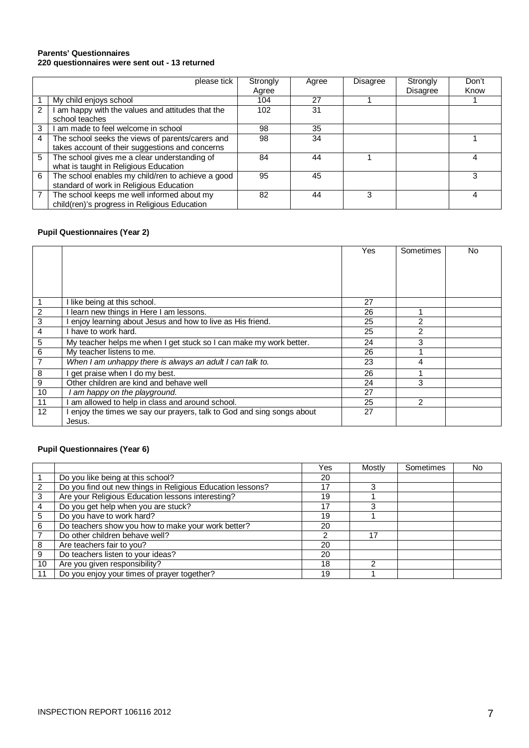#### **Parents' Questionnaires 220 questionnaires were sent out - 13 returned**

|   | please tick                                                                                         | Strongly<br>Agree | Agree | <b>Disagree</b> | Strongly<br><b>Disagree</b> | Don't<br>Know |
|---|-----------------------------------------------------------------------------------------------------|-------------------|-------|-----------------|-----------------------------|---------------|
|   | My child enjoys school                                                                              | 104               | 27    |                 |                             |               |
| 2 | am happy with the values and attitudes that the<br>school teaches                                   | 102               | 31    |                 |                             |               |
| 3 | am made to feel welcome in school                                                                   | 98                | 35    |                 |                             |               |
| 4 | The school seeks the views of parents/carers and<br>takes account of their suggestions and concerns | 98                | 34    |                 |                             |               |
| 5 | The school gives me a clear understanding of<br>what is taught in Religious Education               | 84                | 44    |                 |                             | Δ             |
| 6 | The school enables my child/ren to achieve a good<br>standard of work in Religious Education        | 95                | 45    |                 |                             |               |
|   | The school keeps me well informed about my<br>child(ren)'s progress in Religious Education          | 82                | 44    | 3               |                             |               |

## **Pupil Questionnaires (Year 2)**

|                |                                                                      | Yes | Sometimes      | No |
|----------------|----------------------------------------------------------------------|-----|----------------|----|
|                |                                                                      |     |                |    |
|                |                                                                      |     |                |    |
|                |                                                                      |     |                |    |
|                |                                                                      |     |                |    |
| $\overline{1}$ | I like being at this school.                                         | 27  |                |    |
| $\overline{2}$ | I learn new things in Here I am lessons.                             | 26  |                |    |
| $\overline{3}$ | enjoy learning about Jesus and how to live as His friend.            | 25  | $\mathcal{P}$  |    |
| 4              | have to work hard.                                                   | 25  | $\overline{2}$ |    |
| 5              | My teacher helps me when I get stuck so I can make my work better.   | 24  | 3              |    |
| 6              | My teacher listens to me.                                            | 26  |                |    |
| $\overline{7}$ | When I am unhappy there is always an adult I can talk to.            | 23  | 4              |    |
| 8              | get praise when I do my best.                                        | 26  |                |    |
| $\overline{9}$ | Other children are kind and behave well                              | 24  | 3              |    |
| 10             | I am happy on the playground.                                        | 27  |                |    |
| 11             | am allowed to help in class and around school.                       | 25  | $\mathcal{P}$  |    |
| 12             | enjoy the times we say our prayers, talk to God and sing songs about | 27  |                |    |
|                | Jesus.                                                               |     |                |    |

## **Pupil Questionnaires (Year 6)**

|    |                                                            | Yes | Mostly | Sometimes | No |
|----|------------------------------------------------------------|-----|--------|-----------|----|
|    | Do you like being at this school?                          | 20  |        |           |    |
| 2  | Do you find out new things in Religious Education lessons? | 17  |        |           |    |
| 3  | Are your Religious Education lessons interesting?          | 19  |        |           |    |
|    | Do you get help when you are stuck?                        | 17  | 3      |           |    |
| 5  | Do you have to work hard?                                  | 19  |        |           |    |
| 6  | Do teachers show you how to make your work better?         | 20  |        |           |    |
|    | Do other children behave well?                             | ົ   | 17     |           |    |
| 8  | Are teachers fair to you?                                  | 20  |        |           |    |
| 9  | Do teachers listen to your ideas?                          | 20  |        |           |    |
| 10 | Are you given responsibility?                              | 18  | າ      |           |    |
| 11 | Do you enjoy your times of prayer together?                | 19  |        |           |    |